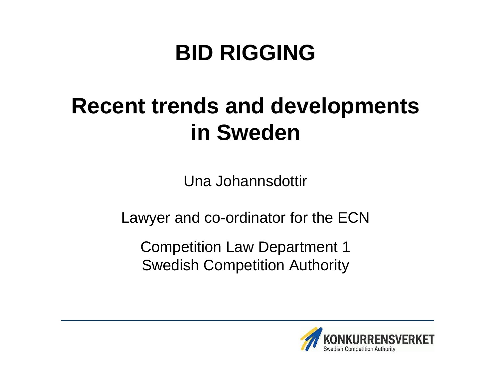### **BID RIGGING**

### **Recent trends and developments in Sweden**

Una Johannsdottir

Lawyer and co-ordinator for the ECN

Competition Law Department 1 Swedish Competition Authority

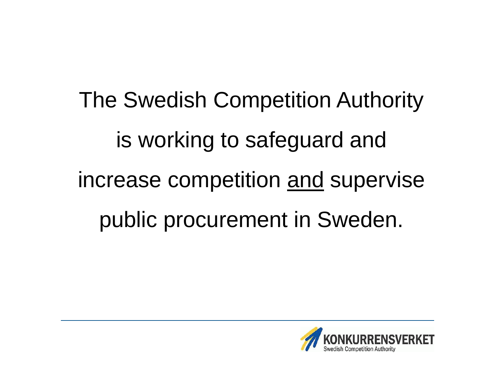The Swedish Competition Authority is working to safeguard and increase competition and supervise public procurement in Sweden.

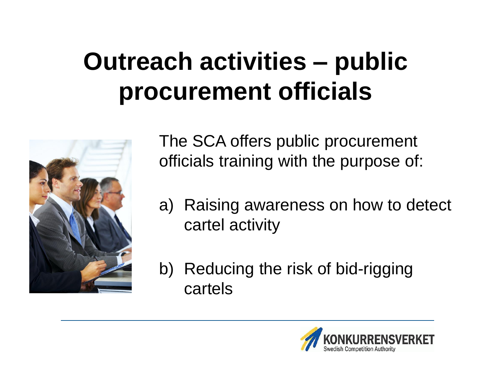## **Outreach activities – public procurement officials**



The SCA offers public procurement officials training with the purpose of:

- a) Raising awareness on how to detect cartel activity
- b) Reducing the risk of bid-rigging cartels

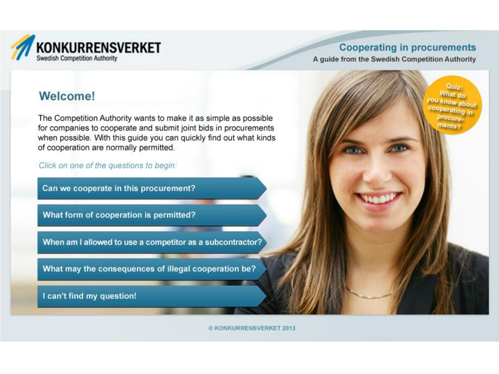

Quiz-What do

ou know about cooperating in

procurements?

A guide from the Swedish Competition Authority

#### **Welcome!**

The Competition Authority wants to make it as simple as possible for companies to cooperate and submit joint bids in procurements when possible. With this guide you can quickly find out what kinds of cooperation are normally permitted.

Click on one of the questions to begin:

Can we cooperate in this procurement?

What form of cooperation is permitted?

When am I allowed to use a competitor as a subcontractor?

What may the consequences of illegal cooperation be?

I can't find my question!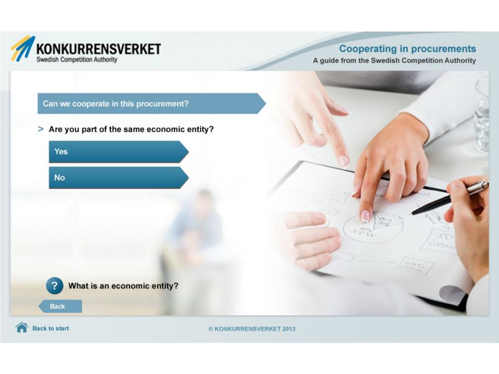

A guide from the Swedish Competition Authority

#### Can we cooperate in this procurement?

> Are you part of the same economic entity?





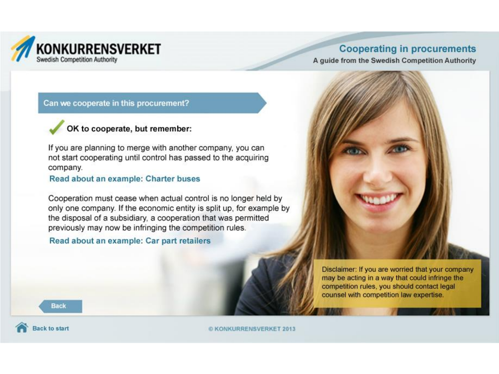

A guide from the Swedish Competition Authority

#### Can we cooperate in this procurement?



If you are planning to merge with another company, you can not start cooperating until control has passed to the acquiring company.

#### Read about an example: Charter buses

Cooperation must cease when actual control is no longer held by only one company. If the economic entity is split up, for example by the disposal of a subsidiary, a cooperation that was permitted previously may now be infringing the competition rules.

#### Read about an example: Car part retailers



Disclaimer: If you are worried that your company may be acting in a way that could infringe the competition rules, you should contact legal counsel with competition law expertise.

**Back** 

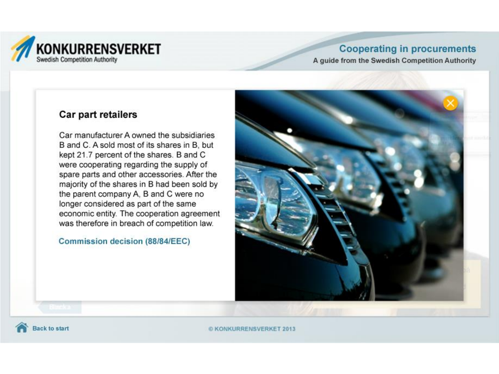

A guide from the Swedish Competition Authority

#### Car part retailers

Car manufacturer A owned the subsidiaries B and C. A sold most of its shares in B. but kept 21.7 percent of the shares. B and C were cooperating regarding the supply of spare parts and other accessories. After the majority of the shares in B had been sold by the parent company A, B and C were no longer considered as part of the same economic entity. The cooperation agreement was therefore in breach of competition law.

#### Commission decision (88/84/EEC)



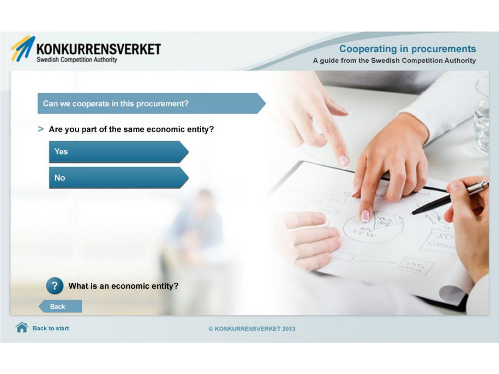

A guide from the Swedish Competition Authority

#### Can we cooperate in this procurement?

> Are you part of the same economic entity?





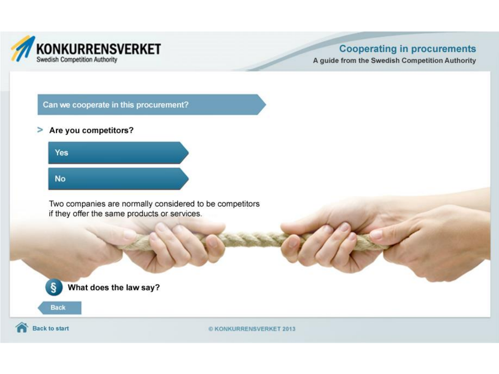

A guide from the Swedish Competition Authority

Can we cooperate in this procurement?

 $\geq$ Are you competitors?



Two companies are normally considered to be competitors if they offer the same products or services.





**Back to start**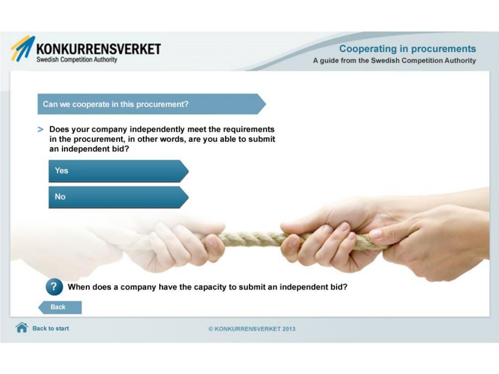

A guide from the Swedish Competition Authority

#### Can we cooperate in this procurement?

> Does your company independently meet the requirements in the procurement, in other words, are you able to submit an independent bid?

| Yes       |  |  |
|-----------|--|--|
| <b>No</b> |  |  |

When does a company have the capacity to submit an independent bid?



**Back**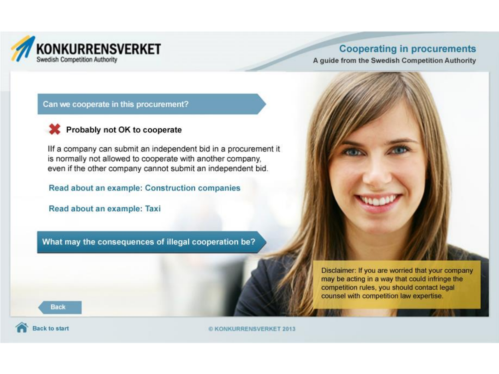

A guide from the Swedish Competition Authority

#### Can we cooperate in this procurement?

#### Probably not OK to cooperate

Ilf a company can submit an independent bid in a procurement it is normally not allowed to cooperate with another company, even if the other company cannot submit an independent bid.

Read about an example: Construction companies

Read about an example: Taxi

What may the consequences of illegal cooperation be?



Disclaimer: If you are worried that your company may be acting in a way that could infringe the competition rules, you should contact legal counsel with competition law expertise.

**Back** 

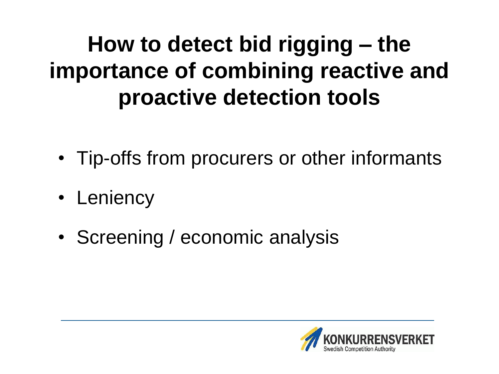### **How to detect bid rigging – the importance of combining reactive and proactive detection tools**

- Tip-offs from procurers or other informants
- Leniency
- Screening / economic analysis

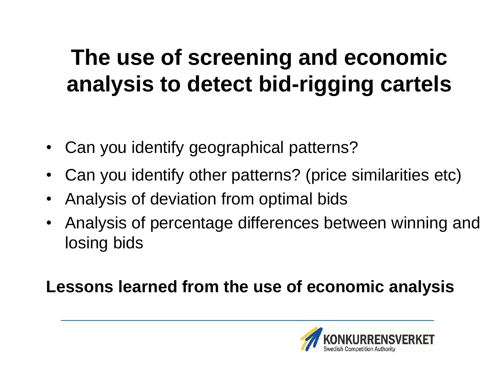### **The use of screening and economic analysis to detect bid-rigging cartels**

- Can you identify geographical patterns?
- Can you identify other patterns? (price similarities etc)
- Analysis of deviation from optimal bids
- Analysis of percentage differences between winning and losing bids

### **Lessons learned from the use of economic analysis**

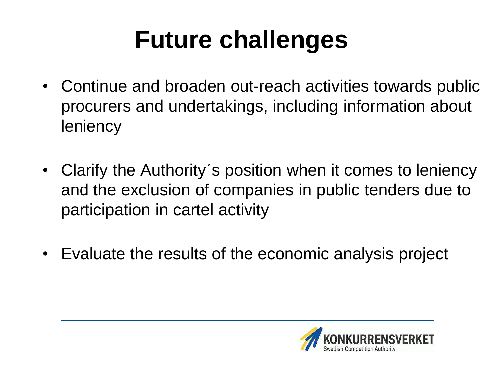## **Future challenges**

- Continue and broaden out-reach activities towards public procurers and undertakings, including information about **leniency**
- Clarify the Authority´s position when it comes to leniency and the exclusion of companies in public tenders due to participation in cartel activity
- Evaluate the results of the economic analysis project

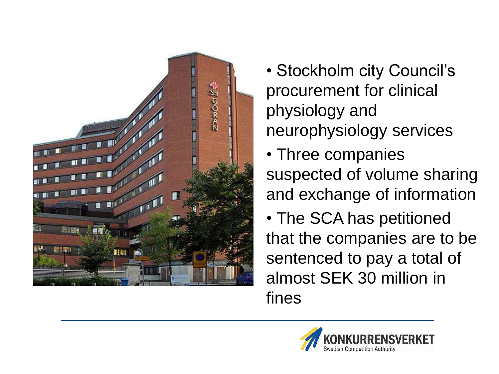

• Stockholm city Council's procurement for clinical physiology and neurophysiology services

• Three companies suspected of volume sharing and exchange of information

• The SCA has petitioned that the companies are to be sentenced to pay a total of almost SEK 30 million in fines